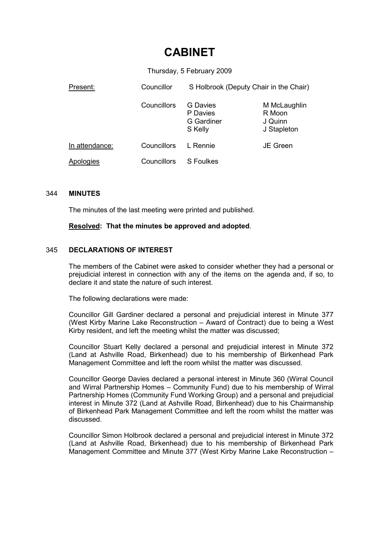# CABINET

Thursday, 5 February 2009

| Present:       | Councillor  | S Holbrook (Deputy Chair in the Chair)        |                                                  |  |
|----------------|-------------|-----------------------------------------------|--------------------------------------------------|--|
|                | Councillors | G Davies<br>P Davies<br>G Gardiner<br>S Kelly | M McLaughlin<br>R Moon<br>J Quinn<br>J Stapleton |  |
| In attendance: | Councillors | L Rennie                                      | <b>JE Green</b>                                  |  |
| Apologies      | Councillors | S Foulkes                                     |                                                  |  |

#### 344 MINUTES

The minutes of the last meeting were printed and published.

Resolved: That the minutes be approved and adopted.

# 345 DECLARATIONS OF INTEREST

The members of the Cabinet were asked to consider whether they had a personal or prejudicial interest in connection with any of the items on the agenda and, if so, to declare it and state the nature of such interest.

The following declarations were made:

Councillor Gill Gardiner declared a personal and prejudicial interest in Minute 377 (West Kirby Marine Lake Reconstruction – Award of Contract) due to being a West Kirby resident, and left the meeting whilst the matter was discussed;

Councillor Stuart Kelly declared a personal and prejudicial interest in Minute 372 (Land at Ashville Road, Birkenhead) due to his membership of Birkenhead Park Management Committee and left the room whilst the matter was discussed.

Councillor George Davies declared a personal interest in Minute 360 (Wirral Council and Wirral Partnership Homes – Community Fund) due to his membership of Wirral Partnership Homes (Community Fund Working Group) and a personal and prejudicial interest in Minute 372 (Land at Ashville Road, Birkenhead) due to his Chairmanship of Birkenhead Park Management Committee and left the room whilst the matter was discussed.

Councillor Simon Holbrook declared a personal and prejudicial interest in Minute 372 (Land at Ashville Road, Birkenhead) due to his membership of Birkenhead Park Management Committee and Minute 377 (West Kirby Marine Lake Reconstruction –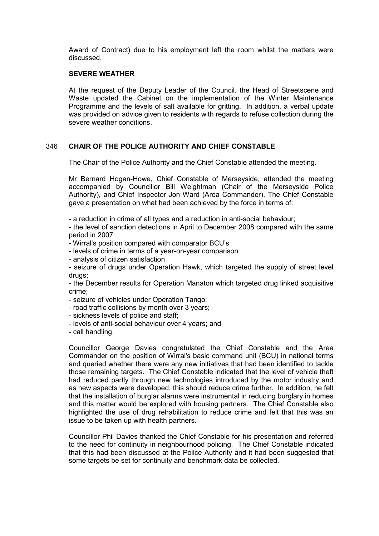Award of Contract) due to his employment left the room whilst the matters were discussed.

# SEVERE WEATHER

At the request of the Deputy Leader of the Council. the Head of Streetscene and Waste updated the Cabinet on the implementation of the Winter Maintenance Programme and the levels of salt available for gritting. In addition, a verbal update was provided on advice given to residents with regards to refuse collection during the severe weather conditions.

# 346 CHAIR OF THE POLICE AUTHORITY AND CHIEF CONSTABLE

The Chair of the Police Authority and the Chief Constable attended the meeting.

Mr Bernard Hogan-Howe, Chief Constable of Merseyside, attended the meeting accompanied by Councillor Bill Weightman (Chair of the Merseyside Police Authority), and Chief Inspector Jon Ward (Area Commander). The Chief Constable gave a presentation on what had been achieved by the force in terms of:

- a reduction in crime of all types and a reduction in anti-social behaviour;

- the level of sanction detections in April to December 2008 compared with the same period in 2007

- Wirral's position compared with comparator BCU's
- levels of crime in terms of a year-on-year comparison
- analysis of citizen satisfaction

- seizure of drugs under Operation Hawk, which targeted the supply of street level drugs;

- the December results for Operation Manaton which targeted drug linked acquisitive crime;

- seizure of vehicles under Operation Tango;

- road traffic collisions by month over 3 years;
- sickness levels of police and staff;
- levels of anti-social behaviour over 4 years; and
- call handling.

Councillor George Davies congratulated the Chief Constable and the Area Commander on the position of Wirral's basic command unit (BCU) in national terms and queried whether there were any new initiatives that had been identified to tackle those remaining targets. The Chief Constable indicated that the level of vehicle theft had reduced partly through new technologies introduced by the motor industry and as new aspects were developed, this should reduce crime further. In addition, he felt that the installation of burglar alarms were instrumental in reducing burglary in homes and this matter would be explored with housing partners. The Chief Constable also highlighted the use of drug rehabilitation to reduce crime and felt that this was an issue to be taken up with health partners.

Councillor Phil Davies thanked the Chief Constable for his presentation and referred to the need for continuity in neighbourhood policing. The Chief Constable indicated that this had been discussed at the Police Authority and it had been suggested that some targets be set for continuity and benchmark data be collected.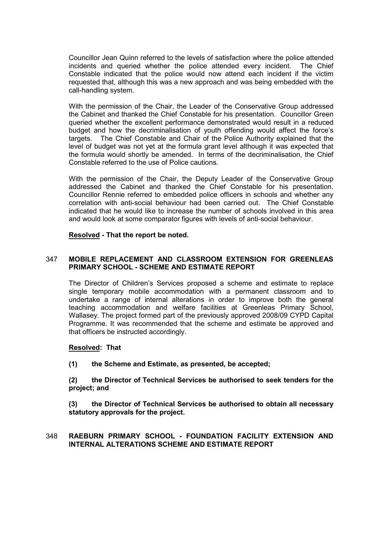Councillor Jean Quinn referred to the levels of satisfaction where the police attended incidents and queried whether the police attended every incident. The Chief Constable indicated that the police would now attend each incident if the victim requested that, although this was a new approach and was being embedded with the call-handling system.

With the permission of the Chair, the Leader of the Conservative Group addressed the Cabinet and thanked the Chief Constable for his presentation. Councillor Green queried whether the excellent performance demonstrated would result in a reduced budget and how the decriminalisation of youth offending would affect the force's targets. The Chief Constable and Chair of the Police Authority explained that the level of budget was not yet at the formula grant level although it was expected that the formula would shortly be amended. In terms of the decriminalisation, the Chief Constable referred to the use of Police cautions.

With the permission of the Chair, the Deputy Leader of the Conservative Group addressed the Cabinet and thanked the Chief Constable for his presentation. Councillor Rennie referred to embedded police officers in schools and whether any correlation with anti-social behaviour had been carried out. The Chief Constable indicated that he would like to increase the number of schools involved in this area and would look at some comparator figures with levels of anti-social behaviour.

#### Resolved - That the report be noted.

# 347 MOBILE REPLACEMENT AND CLASSROOM EXTENSION FOR GREENLEAS PRIMARY SCHOOL - SCHEME AND ESTIMATE REPORT

The Director of Children's Services proposed a scheme and estimate to replace single temporary mobile accommodation with a permanent classroom and to undertake a range of internal alterations in order to improve both the general teaching accommodation and welfare facilities at Greenleas Primary School, Wallasey. The project formed part of the previously approved 2008/09 CYPD Capital Programme. It was recommended that the scheme and estimate be approved and that officers be instructed accordingly.

#### Resolved: That

(1) the Scheme and Estimate, as presented, be accepted;

(2) the Director of Technical Services be authorised to seek tenders for the project; and

(3) the Director of Technical Services be authorised to obtain all necessary statutory approvals for the project.

#### 348 RAEBURN PRIMARY SCHOOL - FOUNDATION FACILITY EXTENSION AND INTERNAL ALTERATIONS SCHEME AND ESTIMATE REPORT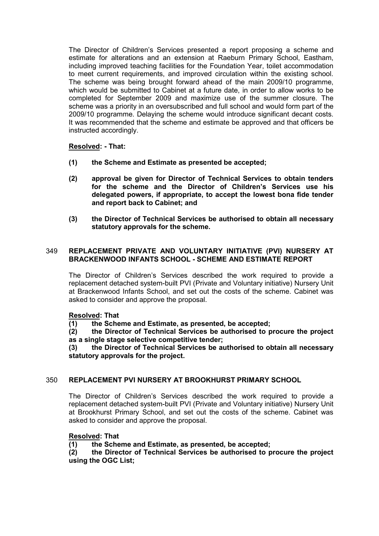The Director of Children's Services presented a report proposing a scheme and estimate for alterations and an extension at Raeburn Primary School, Eastham, including improved teaching facilities for the Foundation Year, toilet accommodation to meet current requirements, and improved circulation within the existing school. The scheme was being brought forward ahead of the main 2009/10 programme, which would be submitted to Cabinet at a future date, in order to allow works to be completed for September 2009 and maximize use of the summer closure. The scheme was a priority in an oversubscribed and full school and would form part of the 2009/10 programme. Delaying the scheme would introduce significant decant costs. It was recommended that the scheme and estimate be approved and that officers be instructed accordingly.

# Resolved: - That:

- (1) the Scheme and Estimate as presented be accepted;
- (2) approval be given for Director of Technical Services to obtain tenders for the scheme and the Director of Children's Services use his delegated powers, if appropriate, to accept the lowest bona fide tender and report back to Cabinet; and
- (3) the Director of Technical Services be authorised to obtain all necessary statutory approvals for the scheme.

# 349 REPLACEMENT PRIVATE AND VOLUNTARY INITIATIVE (PVI) NURSERY AT BRACKENWOOD INFANTS SCHOOL - SCHEME AND ESTIMATE REPORT

The Director of Children's Services described the work required to provide a replacement detached system-built PVI (Private and Voluntary initiative) Nursery Unit at Brackenwood Infants School, and set out the costs of the scheme. Cabinet was asked to consider and approve the proposal.

# Resolved: That

(1) the Scheme and Estimate, as presented, be accepted;

(2) the Director of Technical Services be authorised to procure the project as a single stage selective competitive tender;

(3) the Director of Technical Services be authorised to obtain all necessary statutory approvals for the project.

# 350 REPLACEMENT PVI NURSERY AT BROOKHURST PRIMARY SCHOOL

The Director of Children's Services described the work required to provide a replacement detached system-built PVI (Private and Voluntary initiative) Nursery Unit at Brookhurst Primary School, and set out the costs of the scheme. Cabinet was asked to consider and approve the proposal.

# Resolved: That

(1) the Scheme and Estimate, as presented, be accepted;

(2) the Director of Technical Services be authorised to procure the project using the OGC List;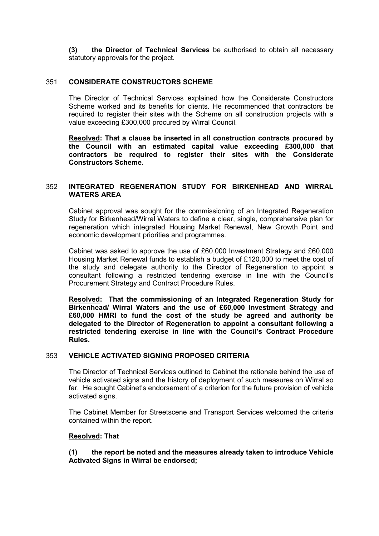(3) the Director of Technical Services be authorised to obtain all necessary statutory approvals for the project.

# 351 CONSIDERATE CONSTRUCTORS SCHEME

The Director of Technical Services explained how the Considerate Constructors Scheme worked and its benefits for clients. He recommended that contractors be required to register their sites with the Scheme on all construction projects with a value exceeding £300,000 procured by Wirral Council.

Resolved: That a clause be inserted in all construction contracts procured by the Council with an estimated capital value exceeding £300,000 that contractors be required to register their sites with the Considerate Constructors Scheme.

# 352 INTEGRATED REGENERATION STUDY FOR BIRKENHEAD AND WIRRAL WATERS AREA

Cabinet approval was sought for the commissioning of an Integrated Regeneration Study for Birkenhead/Wirral Waters to define a clear, single, comprehensive plan for regeneration which integrated Housing Market Renewal, New Growth Point and economic development priorities and programmes.

Cabinet was asked to approve the use of £60,000 Investment Strategy and £60,000 Housing Market Renewal funds to establish a budget of £120,000 to meet the cost of the study and delegate authority to the Director of Regeneration to appoint a consultant following a restricted tendering exercise in line with the Council's Procurement Strategy and Contract Procedure Rules.

Resolved: That the commissioning of an Integrated Regeneration Study for Birkenhead/ Wirral Waters and the use of £60,000 Investment Strategy and £60,000 HMRI to fund the cost of the study be agreed and authority be delegated to the Director of Regeneration to appoint a consultant following a restricted tendering exercise in line with the Council's Contract Procedure Rules.

#### 353 VEHICLE ACTIVATED SIGNING PROPOSED CRITERIA

The Director of Technical Services outlined to Cabinet the rationale behind the use of vehicle activated signs and the history of deployment of such measures on Wirral so far. He sought Cabinet's endorsement of a criterion for the future provision of vehicle activated signs.

The Cabinet Member for Streetscene and Transport Services welcomed the criteria contained within the report.

#### Resolved: That

(1) the report be noted and the measures already taken to introduce Vehicle Activated Signs in Wirral be endorsed;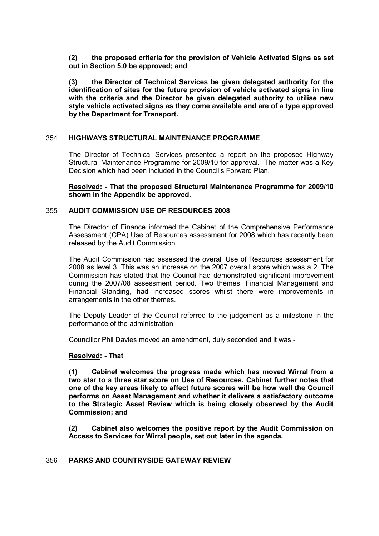(2) the proposed criteria for the provision of Vehicle Activated Signs as set out in Section 5.0 be approved; and

(3) the Director of Technical Services be given delegated authority for the identification of sites for the future provision of vehicle activated signs in line with the criteria and the Director be given delegated authority to utilise new style vehicle activated signs as they come available and are of a type approved by the Department for Transport.

#### 354 HIGHWAYS STRUCTURAL MAINTENANCE PROGRAMME

The Director of Technical Services presented a report on the proposed Highway Structural Maintenance Programme for 2009/10 for approval. The matter was a Key Decision which had been included in the Council's Forward Plan.

Resolved: - That the proposed Structural Maintenance Programme for 2009/10 shown in the Appendix be approved.

#### 355 AUDIT COMMISSION USE OF RESOURCES 2008

The Director of Finance informed the Cabinet of the Comprehensive Performance Assessment (CPA) Use of Resources assessment for 2008 which has recently been released by the Audit Commission.

The Audit Commission had assessed the overall Use of Resources assessment for 2008 as level 3. This was an increase on the 2007 overall score which was a 2. The Commission has stated that the Council had demonstrated significant improvement during the 2007/08 assessment period. Two themes, Financial Management and Financial Standing, had increased scores whilst there were improvements in arrangements in the other themes.

The Deputy Leader of the Council referred to the judgement as a milestone in the performance of the administration.

Councillor Phil Davies moved an amendment, duly seconded and it was -

#### Resolved: - That

(1) Cabinet welcomes the progress made which has moved Wirral from a two star to a three star score on Use of Resources. Cabinet further notes that one of the key areas likely to affect future scores will be how well the Council performs on Asset Management and whether it delivers a satisfactory outcome to the Strategic Asset Review which is being closely observed by the Audit Commission; and

(2) Cabinet also welcomes the positive report by the Audit Commission on Access to Services for Wirral people, set out later in the agenda.

# 356 PARKS AND COUNTRYSIDE GATEWAY REVIEW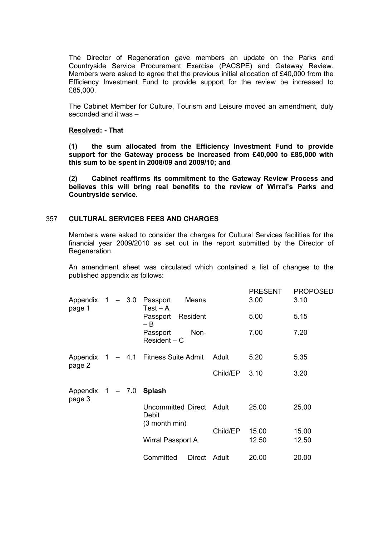The Director of Regeneration gave members an update on the Parks and Countryside Service Procurement Exercise (PACSPE) and Gateway Review. Members were asked to agree that the previous initial allocation of £40,000 from the Efficiency Investment Fund to provide support for the review be increased to £85,000.

The Cabinet Member for Culture, Tourism and Leisure moved an amendment, duly seconded and it was –

#### Resolved: - That

(1) the sum allocated from the Efficiency Investment Fund to provide support for the Gateway process be increased from £40,000 to £85,000 with this sum to be spent in 2008/09 and 2009/10; and

(2) Cabinet reaffirms its commitment to the Gateway Review Process and believes this will bring real benefits to the review of Wirral's Parks and Countryside service.

#### 357 CULTURAL SERVICES FEES AND CHARGES

Members were asked to consider the charges for Cultural Services facilities for the financial year 2009/2010 as set out in the report submitted by the Director of Regeneration.

An amendment sheet was circulated which contained a list of changes to the published appendix as follows:

|                                       |  |  |                                                    |               |          | <b>PRESENT</b> | <b>PROPOSED</b> |
|---------------------------------------|--|--|----------------------------------------------------|---------------|----------|----------------|-----------------|
| Appendix $1 - 3.0$ Passport<br>page 1 |  |  | $Test - A$                                         | Means         |          | 3.00           | 3.10            |
|                                       |  |  | Passport Resident<br>$- B$                         |               |          | 5.00           | 5.15            |
|                                       |  |  | Passport<br>$Resident - C$                         | Non-          |          | 7.00           | 7.20            |
| page 2                                |  |  | Appendix 1 - 4.1 Fitness Suite Admit               |               | Adult    | 5.20           | 5.35            |
|                                       |  |  |                                                    |               | Child/EP | 3.10           | 3.20            |
| Appendix $1 - 7.0$ Splash<br>page 3   |  |  |                                                    |               |          |                |                 |
|                                       |  |  | Uncommitted Direct Adult<br>Debit<br>(3 month min) |               |          | 25.00          | 25.00           |
|                                       |  |  |                                                    | Child/EP      | 15.00    | 15.00          |                 |
|                                       |  |  | Wirral Passport A                                  |               |          | 12.50          | 12.50           |
|                                       |  |  | Committed                                          | <b>Direct</b> | Adult    | 20.00          | 20.00           |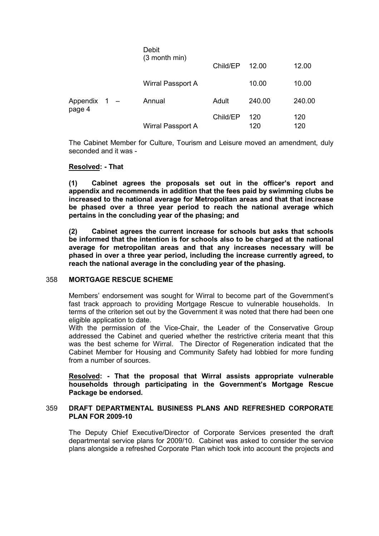|                        |                   | Debit<br>(3 month min) | Child/EP   | 12.00      | 12.00  |
|------------------------|-------------------|------------------------|------------|------------|--------|
|                        |                   | Wirral Passport A      |            | 10.00      | 10.00  |
| Appendix 1 -<br>page 4 |                   | Annual                 | Adult      | 240.00     | 240.00 |
|                        | Wirral Passport A | Child/EP               | 120<br>120 | 120<br>120 |        |

The Cabinet Member for Culture, Tourism and Leisure moved an amendment, duly seconded and it was -

#### Resolved: - That

(1) Cabinet agrees the proposals set out in the officer's report and appendix and recommends in addition that the fees paid by swimming clubs be increased to the national average for Metropolitan areas and that that increase be phased over a three year period to reach the national average which pertains in the concluding year of the phasing; and

(2) Cabinet agrees the current increase for schools but asks that schools be informed that the intention is for schools also to be charged at the national average for metropolitan areas and that any increases necessary will be phased in over a three year period, including the increase currently agreed, to reach the national average in the concluding year of the phasing.

#### 358 MORTGAGE RESCUE SCHEME

Members' endorsement was sought for Wirral to become part of the Government's fast track approach to providing Mortgage Rescue to vulnerable households. In terms of the criterion set out by the Government it was noted that there had been one eligible application to date.

With the permission of the Vice-Chair, the Leader of the Conservative Group addressed the Cabinet and queried whether the restrictive criteria meant that this was the best scheme for Wirral. The Director of Regeneration indicated that the Cabinet Member for Housing and Community Safety had lobbied for more funding from a number of sources.

Resolved: - That the proposal that Wirral assists appropriate vulnerable households through participating in the Government's Mortgage Rescue Package be endorsed.

#### 359 DRAFT DEPARTMENTAL BUSINESS PLANS AND REFRESHED CORPORATE PLAN FOR 2009-10

The Deputy Chief Executive/Director of Corporate Services presented the draft departmental service plans for 2009/10. Cabinet was asked to consider the service plans alongside a refreshed Corporate Plan which took into account the projects and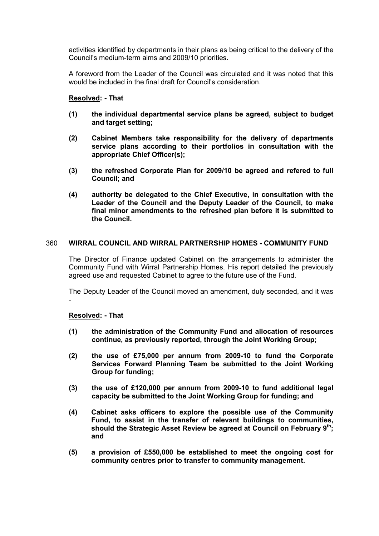activities identified by departments in their plans as being critical to the delivery of the Council's medium-term aims and 2009/10 priorities.

A foreword from the Leader of the Council was circulated and it was noted that this would be included in the final draft for Council's consideration.

#### Resolved: - That

- (1) the individual departmental service plans be agreed, subject to budget and target setting;
- (2) Cabinet Members take responsibility for the delivery of departments service plans according to their portfolios in consultation with the appropriate Chief Officer(s);
- (3) the refreshed Corporate Plan for 2009/10 be agreed and refered to full Council; and
- (4) authority be delegated to the Chief Executive, in consultation with the Leader of the Council and the Deputy Leader of the Council, to make final minor amendments to the refreshed plan before it is submitted to the Council.

#### 360 WIRRAL COUNCIL AND WIRRAL PARTNERSHIP HOMES - COMMUNITY FUND

The Director of Finance updated Cabinet on the arrangements to administer the Community Fund with Wirral Partnership Homes. His report detailed the previously agreed use and requested Cabinet to agree to the future use of the Fund.

The Deputy Leader of the Council moved an amendment, duly seconded, and it was -

#### Resolved: - That

- (1) the administration of the Community Fund and allocation of resources continue, as previously reported, through the Joint Working Group;
- (2) the use of £75,000 per annum from 2009-10 to fund the Corporate Services Forward Planning Team be submitted to the Joint Working Group for funding;
- (3) the use of £120,000 per annum from 2009-10 to fund additional legal capacity be submitted to the Joint Working Group for funding; and
- (4) Cabinet asks officers to explore the possible use of the Community Fund, to assist in the transfer of relevant buildings to communities, should the Strategic Asset Review be agreed at Council on February  $9<sup>th</sup>$ ; and
- (5) a provision of £550,000 be established to meet the ongoing cost for community centres prior to transfer to community management.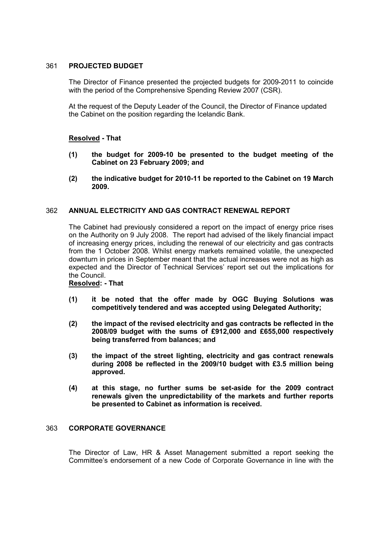# 361 PROJECTED BUDGET

The Director of Finance presented the projected budgets for 2009-2011 to coincide with the period of the Comprehensive Spending Review 2007 (CSR).

At the request of the Deputy Leader of the Council, the Director of Finance updated the Cabinet on the position regarding the Icelandic Bank.

# Resolved - That

- (1) the budget for 2009-10 be presented to the budget meeting of the Cabinet on 23 February 2009; and
- (2) the indicative budget for 2010-11 be reported to the Cabinet on 19 March 2009.

# 362 ANNUAL ELECTRICITY AND GAS CONTRACT RENEWAL REPORT

The Cabinet had previously considered a report on the impact of energy price rises on the Authority on 9 July 2008. The report had advised of the likely financial impact of increasing energy prices, including the renewal of our electricity and gas contracts from the 1 October 2008. Whilst energy markets remained volatile, the unexpected downturn in prices in September meant that the actual increases were not as high as expected and the Director of Technical Services' report set out the implications for the Council.

# Resolved: - That

- (1) it be noted that the offer made by OGC Buying Solutions was competitively tendered and was accepted using Delegated Authority;
- (2) the impact of the revised electricity and gas contracts be reflected in the 2008/09 budget with the sums of £912,000 and £655,000 respectively being transferred from balances; and
- (3) the impact of the street lighting, electricity and gas contract renewals during 2008 be reflected in the 2009/10 budget with £3.5 million being approved.
- (4) at this stage, no further sums be set-aside for the 2009 contract renewals given the unpredictability of the markets and further reports be presented to Cabinet as information is received.

# 363 CORPORATE GOVERNANCE

The Director of Law, HR & Asset Management submitted a report seeking the Committee's endorsement of a new Code of Corporate Governance in line with the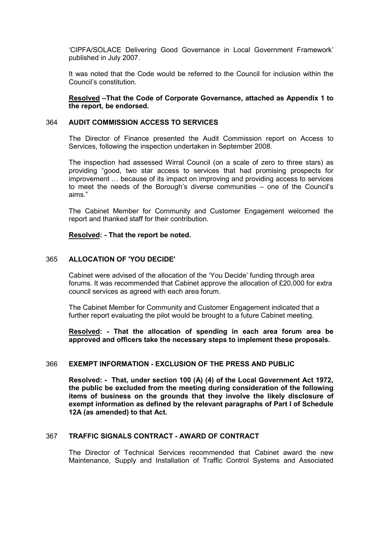'CIPFA/SOLACE Delivering Good Governance in Local Government Framework' published in July 2007.

It was noted that the Code would be referred to the Council for inclusion within the Council's constitution.

Resolved –That the Code of Corporate Governance, attached as Appendix 1 to the report, be endorsed.

#### 364 AUDIT COMMISSION ACCESS TO SERVICES

The Director of Finance presented the Audit Commission report on Access to Services, following the inspection undertaken in September 2008.

The inspection had assessed Wirral Council (on a scale of zero to three stars) as providing "good, two star access to services that had promising prospects for improvement … because of its impact on improving and providing access to services to meet the needs of the Borough's diverse communities – one of the Council's aims."

The Cabinet Member for Community and Customer Engagement welcomed the report and thanked staff for their contribution.

#### Resolved: - That the report be noted.

#### 365 ALLOCATION OF 'YOU DECIDE'

Cabinet were advised of the allocation of the 'You Decide' funding through area forums. It was recommended that Cabinet approve the allocation of £20,000 for extra council services as agreed with each area forum.

The Cabinet Member for Community and Customer Engagement indicated that a further report evaluating the pilot would be brought to a future Cabinet meeting.

Resolved: - That the allocation of spending in each area forum area be approved and officers take the necessary steps to implement these proposals.

#### 366 EXEMPT INFORMATION - EXCLUSION OF THE PRESS AND PUBLIC

Resolved: - That, under section 100 (A) (4) of the Local Government Act 1972, the public be excluded from the meeting during consideration of the following items of business on the grounds that they involve the likely disclosure of exempt information as defined by the relevant paragraphs of Part I of Schedule 12A (as amended) to that Act.

#### 367 TRAFFIC SIGNALS CONTRACT - AWARD OF CONTRACT

The Director of Technical Services recommended that Cabinet award the new Maintenance, Supply and Installation of Traffic Control Systems and Associated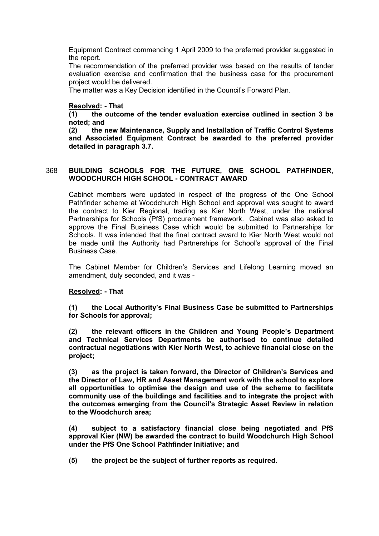Equipment Contract commencing 1 April 2009 to the preferred provider suggested in the report.

The recommendation of the preferred provider was based on the results of tender evaluation exercise and confirmation that the business case for the procurement project would be delivered.

The matter was a Key Decision identified in the Council's Forward Plan.

# Resolved: - That

(1) the outcome of the tender evaluation exercise outlined in section 3 be noted; and

(2) the new Maintenance, Supply and Installation of Traffic Control Systems and Associated Equipment Contract be awarded to the preferred provider detailed in paragraph 3.7.

#### 368 BUILDING SCHOOLS FOR THE FUTURE, ONE SCHOOL PATHFINDER, WOODCHURCH HIGH SCHOOL - CONTRACT AWARD

Cabinet members were updated in respect of the progress of the One School Pathfinder scheme at Woodchurch High School and approval was sought to award the contract to Kier Regional, trading as Kier North West, under the national Partnerships for Schools (PfS) procurement framework. Cabinet was also asked to approve the Final Business Case which would be submitted to Partnerships for Schools. It was intended that the final contract award to Kier North West would not be made until the Authority had Partnerships for School's approval of the Final Business Case.

The Cabinet Member for Children's Services and Lifelong Learning moved an amendment, duly seconded, and it was -

#### Resolved: - That

(1) the Local Authority's Final Business Case be submitted to Partnerships for Schools for approval;

(2) the relevant officers in the Children and Young People's Department and Technical Services Departments be authorised to continue detailed contractual negotiations with Kier North West, to achieve financial close on the project;

(3) as the project is taken forward, the Director of Children's Services and the Director of Law, HR and Asset Management work with the school to explore all opportunities to optimise the design and use of the scheme to facilitate community use of the buildings and facilities and to integrate the project with the outcomes emerging from the Council's Strategic Asset Review in relation to the Woodchurch area;

(4) subject to a satisfactory financial close being negotiated and PfS approval Kier (NW) be awarded the contract to build Woodchurch High School under the PfS One School Pathfinder Initiative; and

(5) the project be the subject of further reports as required.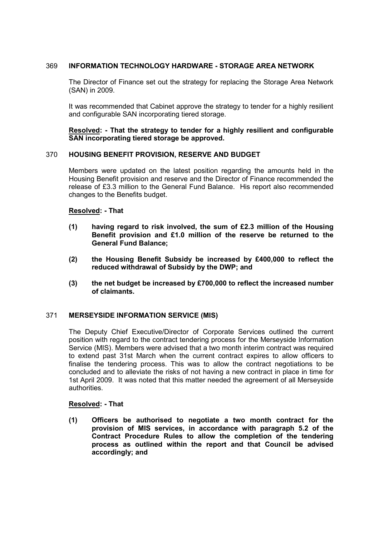# 369 INFORMATION TECHNOLOGY HARDWARE - STORAGE AREA NETWORK

The Director of Finance set out the strategy for replacing the Storage Area Network (SAN) in 2009.

It was recommended that Cabinet approve the strategy to tender for a highly resilient and configurable SAN incorporating tiered storage.

#### Resolved: - That the strategy to tender for a highly resilient and configurable SAN incorporating tiered storage be approved.

#### 370 HOUSING BENEFIT PROVISION, RESERVE AND BUDGET

Members were updated on the latest position regarding the amounts held in the Housing Benefit provision and reserve and the Director of Finance recommended the release of £3.3 million to the General Fund Balance. His report also recommended changes to the Benefits budget.

#### Resolved: - That

- (1) having regard to risk involved, the sum of  $£2.3$  million of the Housing Benefit provision and £1.0 million of the reserve be returned to the General Fund Balance;
- (2) the Housing Benefit Subsidy be increased by £400,000 to reflect the reduced withdrawal of Subsidy by the DWP; and
- (3) the net budget be increased by £700,000 to reflect the increased number of claimants.

# 371 MERSEYSIDE INFORMATION SERVICE (MIS)

The Deputy Chief Executive/Director of Corporate Services outlined the current position with regard to the contract tendering process for the Merseyside Information Service (MIS). Members were advised that a two month interim contract was required to extend past 31st March when the current contract expires to allow officers to finalise the tendering process. This was to allow the contract negotiations to be concluded and to alleviate the risks of not having a new contract in place in time for 1st April 2009. It was noted that this matter needed the agreement of all Merseyside authorities.

#### Resolved: - That

(1) Officers be authorised to negotiate a two month contract for the provision of MIS services, in accordance with paragraph 5.2 of the Contract Procedure Rules to allow the completion of the tendering process as outlined within the report and that Council be advised accordingly; and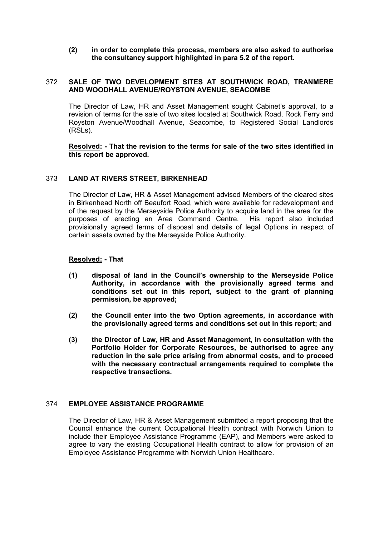# (2) in order to complete this process, members are also asked to authorise the consultancy support highlighted in para 5.2 of the report.

# 372 SALE OF TWO DEVELOPMENT SITES AT SOUTHWICK ROAD, TRANMERE AND WOODHALL AVENUE/ROYSTON AVENUE, SEACOMBE

The Director of Law, HR and Asset Management sought Cabinet's approval, to a revision of terms for the sale of two sites located at Southwick Road, Rock Ferry and Royston Avenue/Woodhall Avenue, Seacombe, to Registered Social Landlords (RSLs).

Resolved: - That the revision to the terms for sale of the two sites identified in this report be approved.

#### 373 LAND AT RIVERS STREET, BIRKENHEAD

The Director of Law, HR & Asset Management advised Members of the cleared sites in Birkenhead North off Beaufort Road, which were available for redevelopment and of the request by the Merseyside Police Authority to acquire land in the area for the purposes of erecting an Area Command Centre. His report also included provisionally agreed terms of disposal and details of legal Options in respect of certain assets owned by the Merseyside Police Authority.

#### Resolved: - That

- (1) disposal of land in the Council's ownership to the Merseyside Police Authority, in accordance with the provisionally agreed terms and conditions set out in this report, subject to the grant of planning permission, be approved;
- (2) the Council enter into the two Option agreements, in accordance with the provisionally agreed terms and conditions set out in this report; and
- (3) the Director of Law, HR and Asset Management, in consultation with the Portfolio Holder for Corporate Resources, be authorised to agree any reduction in the sale price arising from abnormal costs, and to proceed with the necessary contractual arrangements required to complete the respective transactions.

# 374 EMPLOYEE ASSISTANCE PROGRAMME

The Director of Law, HR & Asset Management submitted a report proposing that the Council enhance the current Occupational Health contract with Norwich Union to include their Employee Assistance Programme (EAP), and Members were asked to agree to vary the existing Occupational Health contract to allow for provision of an Employee Assistance Programme with Norwich Union Healthcare.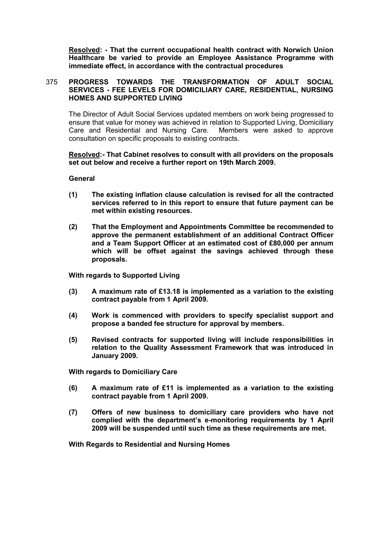Resolved: - That the current occupational health contract with Norwich Union Healthcare be varied to provide an Employee Assistance Programme with immediate effect, in accordance with the contractual procedures

# 375 PROGRESS TOWARDS THE TRANSFORMATION OF ADULT SOCIAL SERVICES - FEE LEVELS FOR DOMICILIARY CARE, RESIDENTIAL, NURSING HOMES AND SUPPORTED LIVING

The Director of Adult Social Services updated members on work being progressed to ensure that value for money was achieved in relation to Supported Living, Domiciliary Care and Residential and Nursing Care. Members were asked to approve consultation on specific proposals to existing contracts.

#### Resolved:- That Cabinet resolves to consult with all providers on the proposals set out below and receive a further report on 19th March 2009.

General

- (1) The existing inflation clause calculation is revised for all the contracted services referred to in this report to ensure that future payment can be met within existing resources.
- (2) That the Employment and Appointments Committee be recommended to approve the permanent establishment of an additional Contract Officer and a Team Support Officer at an estimated cost of £80,000 per annum which will be offset against the savings achieved through these proposals.

With regards to Supported Living

- (3) A maximum rate of £13.18 is implemented as a variation to the existing contract payable from 1 April 2009.
- (4) Work is commenced with providers to specify specialist support and propose a banded fee structure for approval by members.
- (5) Revised contracts for supported living will include responsibilities in relation to the Quality Assessment Framework that was introduced in January 2009.

With regards to Domiciliary Care

- (6) A maximum rate of £11 is implemented as a variation to the existing contract payable from 1 April 2009.
- (7) Offers of new business to domiciliary care providers who have not complied with the department's e-monitoring requirements by 1 April 2009 will be suspended until such time as these requirements are met.

With Regards to Residential and Nursing Homes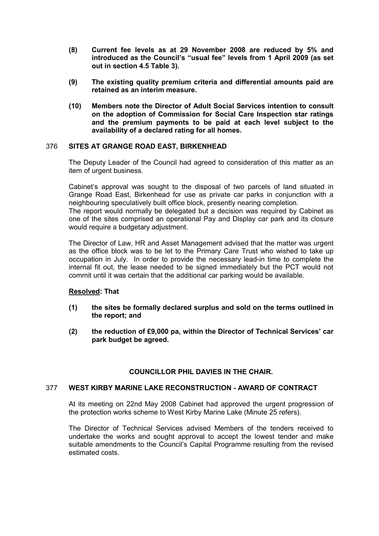- (8) Current fee levels as at 29 November 2008 are reduced by 5% and introduced as the Council's "usual fee" levels from 1 April 2009 (as set out in section 4.5 Table 3).
- (9) The existing quality premium criteria and differential amounts paid are retained as an interim measure.
- (10) Members note the Director of Adult Social Services intention to consult on the adoption of Commission for Social Care Inspection star ratings and the premium payments to be paid at each level subject to the availability of a declared rating for all homes.

# 376 SITES AT GRANGE ROAD EAST, BIRKENHEAD

The Deputy Leader of the Council had agreed to consideration of this matter as an item of urgent business.

Cabinet's approval was sought to the disposal of two parcels of land situated in Grange Road East, Birkenhead for use as private car parks in conjunction with a neighbouring speculatively built office block, presently nearing completion.

The report would normally be delegated but a decision was required by Cabinet as one of the sites comprised an operational Pay and Display car park and its closure would require a budgetary adjustment.

The Director of Law, HR and Asset Management advised that the matter was urgent as the office block was to be let to the Primary Care Trust who wished to take up occupation in July. In order to provide the necessary lead-in time to complete the internal fit out, the lease needed to be signed immediately but the PCT would not commit until it was certain that the additional car parking would be available.

#### Resolved: That

- (1) the sites be formally declared surplus and sold on the terms outlined in the report; and
- (2) the reduction of £9,000 pa, within the Director of Technical Services' car park budget be agreed.

# COUNCILLOR PHIL DAVIES IN THE CHAIR.

#### 377 WEST KIRBY MARINE LAKE RECONSTRUCTION - AWARD OF CONTRACT

At its meeting on 22nd May 2008 Cabinet had approved the urgent progression of the protection works scheme to West Kirby Marine Lake (Minute 25 refers).

The Director of Technical Services advised Members of the tenders received to undertake the works and sought approval to accept the lowest tender and make suitable amendments to the Council's Capital Programme resulting from the revised estimated costs.